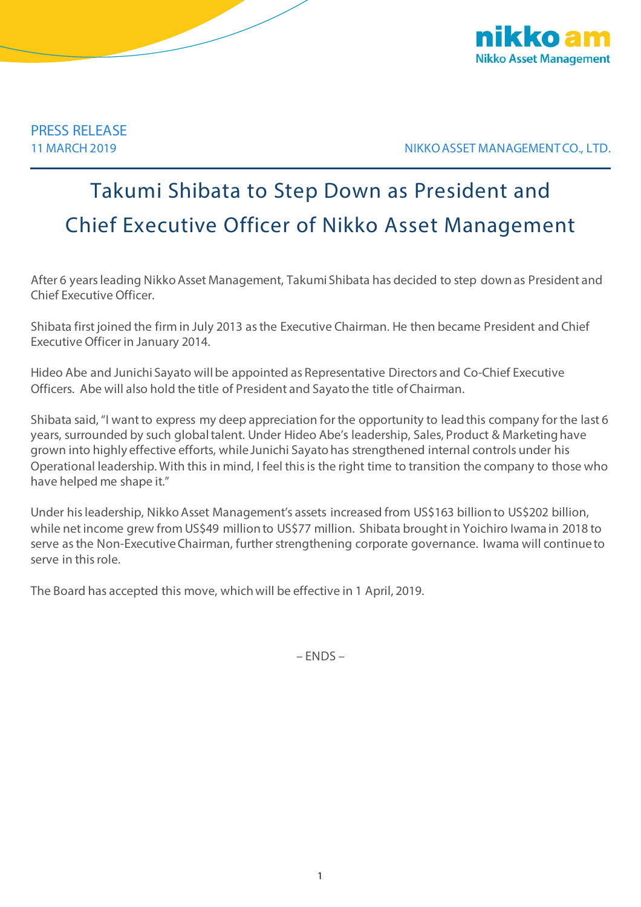

11 MARCH 2019 NIKKO ASSET MANAGEMENT CO., LTD.

## Takumi Shibata to Step Down as President and Chief Executive Officer of Nikko Asset Management

After 6 years leading Nikko Asset Management, Takumi Shibata has decided to step down as President and Chief Executive Officer.

Shibata first joined the firm in July 2013 as the Executive Chairman. He then became President and Chief Executive Officer in January 2014.

Hideo Abe and Junichi Sayato will be appointed as Representative Directors and Co-Chief Executive Officers. Abe will also hold the title of President and Sayato the title of Chairman.

Shibata said,"I want to express my deep appreciation for the opportunity to lead this company for the last 6 years, surrounded by such global talent. Under Hideo Abe's leadership, Sales, Product & Marketing have grown into highly effective efforts, while Junichi Sayato has strengthened internal controls under his Operational leadership. With this in mind, I feel this is the right time to transition the company to those who have helped me shape it."

Under his leadership, Nikko Asset Management's assets increased from US\$163 billionto US\$202 billion, while net income grew from US\$49 millionto US\$77 million. Shibata brought in Yoichiro Iwama in 2018 to serve as the Non-Executive Chairman, further strengthening corporate governance. Iwama will continue to serve in this role.

The Board has accepted this move, which will be effective in 1 April, 2019.

– ENDS –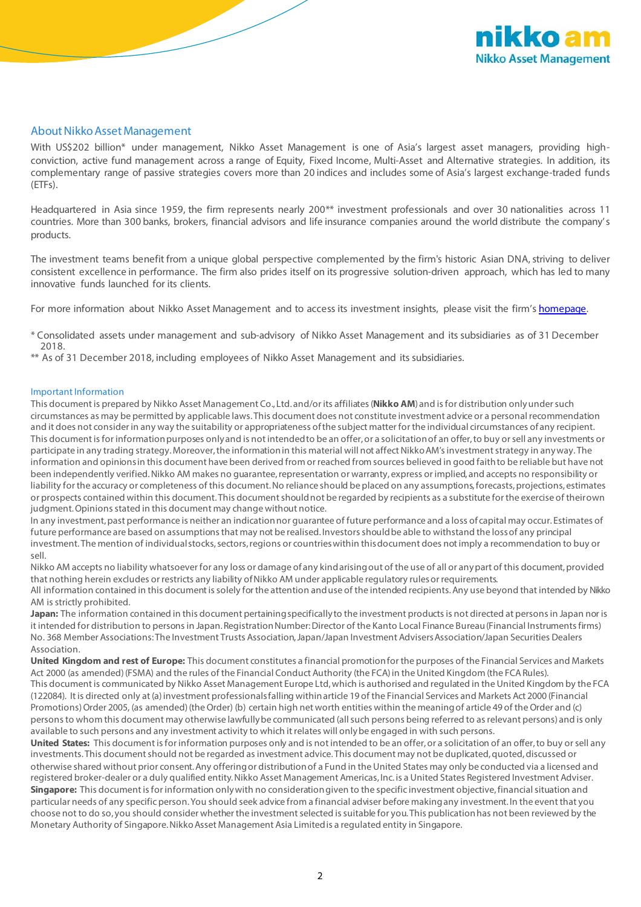

## About Nikko Asset Management

With US\$202 billion\* under management, Nikko Asset Management is one of Asia's largest asset managers, providing highconviction, active fund management across a range of Equity, Fixed Income, Multi-Asset and Alternative strategies. In addition, its complementary range of passive strategies covers more than 20 indices and includes some of Asia's largest exchange-traded funds (ETFs).

Headquartered in Asia since 1959, the firm represents nearly 200<sup>\*\*</sup> investment professionals and over 30 nationalities across 11 countries. More than 300 banks, brokers, financial advisors and life insurance companies around the world distribute the company's products.

The investment teams benefit from a unique global perspective complemented by the firm's historic Asian DNA, striving to deliver consistent excellence in performance. The firm also prides itself on its progressive solution-driven approach, which has led to many innovative funds launched for its clients.

For more information about Nikko Asset Management and to access its investment insights, please visit the firm's [homepage.](http://en.nikkoam.com/)

\* Consolidated assets under management and sub-advisory of Nikko Asset Management and its subsidiaries as of 31 December 2018.

\*\* As of 31 December 2018, including employees of Nikko Asset Management and its subsidiaries.

## Important Information

This document is prepared by Nikko Asset Management Co., Ltd. and/or its affiliates (**Nikko AM**) and is for distribution only under such circumstances as may be permitted by applicable laws. This document does not constitute investment advice or a personal recommendation and it does not consider in any way the suitability or appropriateness of the subject matter for the individual circumstances of any recipient. This document is for information purposes only and is not intended to be an offer, or a solicitation of an offer, to buy or sell any investments or participate in any trading strategy. Moreover, the information in this material will not affect Nikko AM's investment strategy in any way. The information and opinions in this document have been derived from or reached from sources believed in good faith to be reliable but have not been independently verified. Nikko AM makes no guarantee, representation or warranty, express or implied, and accepts no responsibility or liability for the accuracy or completeness of this document. No reliance should be placed on any assumptions, forecasts, projections, estimates or prospects contained within this document. This document should not be regarded by recipients as a substitute for the exercise of their own judgment. Opinions stated in this document may change without notice.

In any investment, past performance is neither an indication nor guarantee of future performance and a loss of capital may occur. Estimates of future performance are based on assumptions that may not be realised. Investors should be able to withstand the loss of any principal investment. The mention of individual stocks, sectors, regions or countries within this document does not imply a recommendation to buy or sell.

Nikko AM accepts no liability whatsoever for any loss or damage of any kind arising out of the use of all or any part of this document, provided that nothing herein excludes or restricts any liability of Nikko AM under applicable regulatory rules or requirements.

All information contained in this document is solely for the attention and use of the intended recipients. Any use beyond that intended by Nikko AM is strictly prohibited.

**Japan:** The information contained in this document pertaining specifically to the investment products is not directed at persons in Japan nor is it intended for distribution to persons in Japan. Registration Number: Director of the Kanto Local Finance Bureau (Financial Instruments firms) No. 368 Member Associations: The Investment Trusts Association, Japan/Japan Investment Advisers Association/Japan Securities Dealers Association.

**United Kingdom and rest of Europe:** This document constitutes a financial promotion for the purposes of the Financial Services and Markets Act 2000 (as amended) (FSMA) and the rules of the Financial Conduct Authority (the FCA) in the United Kingdom (the FCA Rules). This document is communicated by Nikko Asset Management Europe Ltd, which is authorised and regulated in the United Kingdom by the FCA (122084). It is directed only at (a) investment professionals falling within article 19 of the Financial Services and Markets Act 2000 (Financial Promotions) Order 2005, (as amended) (the Order) (b) certain high net worth entities within the meaning of article 49 of the Order and (c) persons to whom this document may otherwise lawfully be communicated (all such persons being referred to as relevant persons) and is only available to such persons and any investment activity to which it relates will only be engaged in with such persons.

United States: This document is for information purposes only and is not intended to be an offer, or a solicitation of an offer, to buy or sell any investments. This document should not be regarded as investment advice. This document may not be duplicated, quoted, discussed or otherwise shared without prior consent. Any offering or distribution of a Fund in the United States may only be conducted via a licensed and registered broker-dealer or a duly qualified entity. Nikko Asset Management Americas, Inc. is a United States Registered Investment Adviser. **Singapore:** This document is for information only with no consideration given to the specific investment objective, financial situation and particular needs of any specific person. You should seek advice from a financial adviser before making any investment. In the event that you choose not to do so, you should consider whether the investment selected is suitable for you. This publication has not been reviewed by the Monetary Authority of Singapore. Nikko Asset Management Asia Limited is a regulated entity in Singapore.